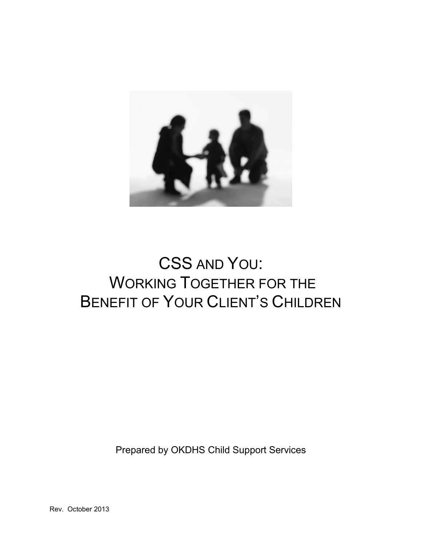

# CSS AND YOU: WORKING TOGETHER FOR THE BENEFIT OF YOUR CLIENT'S CHILDREN

Prepared by OKDHS Child Support Services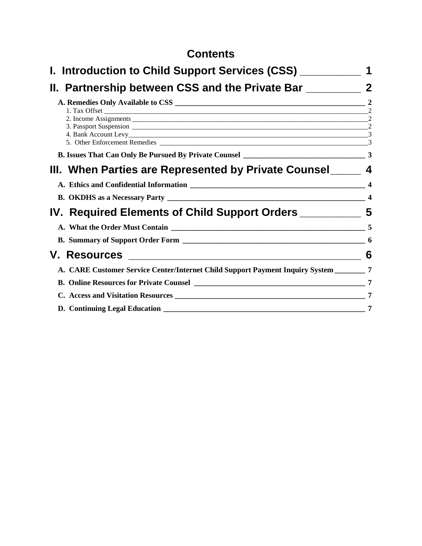# **Contents**

| I. Introduction to Child Support Services (CSS) ___________                              |                  |
|------------------------------------------------------------------------------------------|------------------|
| II. Partnership between CSS and the Private Bar                                          | $\boldsymbol{2}$ |
|                                                                                          |                  |
|                                                                                          |                  |
|                                                                                          |                  |
|                                                                                          |                  |
| III. When Parties are Represented by Private Counsel________ 4                           |                  |
|                                                                                          |                  |
|                                                                                          |                  |
| IV. Required Elements of Child Support Orders _____________ 5                            |                  |
|                                                                                          |                  |
|                                                                                          |                  |
|                                                                                          |                  |
| A. CARE Customer Service Center/Internet Child Support Payment Inquiry System ________ 7 |                  |
|                                                                                          |                  |
|                                                                                          |                  |
|                                                                                          | 7                |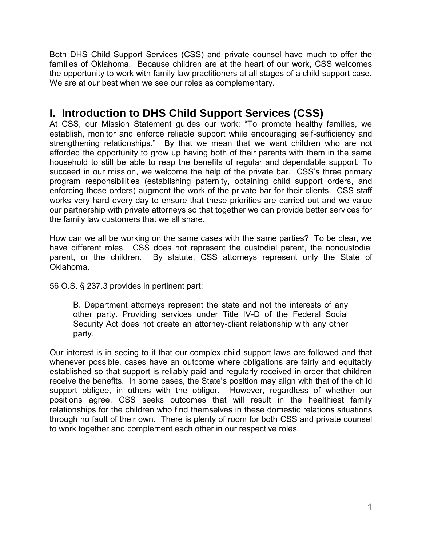Both DHS Child Support Services (CSS) and private counsel have much to offer the families of Oklahoma. Because children are at the heart of our work, CSS welcomes the opportunity to work with family law practitioners at all stages of a child support case. We are at our best when we see our roles as complementary.

# <span id="page-2-0"></span>**I. Introduction to DHS Child Support Services (CSS)**

At CSS, our Mission Statement guides our work: "To promote healthy families, we establish, monitor and enforce reliable support while encouraging self-sufficiency and strengthening relationships." By that we mean that we want children who are not afforded the opportunity to grow up having both of their parents with them in the same household to still be able to reap the benefits of regular and dependable support. To succeed in our mission, we welcome the help of the private bar. CSS's three primary program responsibilities (establishing paternity, obtaining child support orders, and enforcing those orders) augment the work of the private bar for their clients. CSS staff works very hard every day to ensure that these priorities are carried out and we value our partnership with private attorneys so that together we can provide better services for the family law customers that we all share.

How can we all be working on the same cases with the same parties? To be clear, we have different roles. CSS does not represent the custodial parent, the noncustodial parent, or the children. By statute, CSS attorneys represent only the State of Oklahoma.

56 O.S. § 237.3 provides in pertinent part:

B. Department attorneys represent the state and not the interests of any other party. Providing services under Title IV-D of the Federal Social Security Act does not create an attorney-client relationship with any other party.

Our interest is in seeing to it that our complex child support laws are followed and that whenever possible, cases have an outcome where obligations are fairly and equitably established so that support is reliably paid and regularly received in order that children receive the benefits. In some cases, the State's position may align with that of the child support obligee, in others with the obligor. However, regardless of whether our positions agree, CSS seeks outcomes that will result in the healthiest family relationships for the children who find themselves in these domestic relations situations through no fault of their own. There is plenty of room for both CSS and private counsel to work together and complement each other in our respective roles.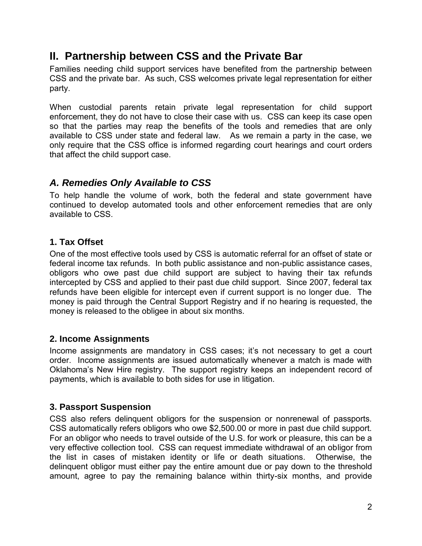# <span id="page-3-0"></span>**II. Partnership between CSS and the Private Bar**

Families needing child support services have benefited from the partnership between CSS and the private bar. As such, CSS welcomes private legal representation for either party.

When custodial parents retain private legal representation for child support enforcement, they do not have to close their case with us. CSS can keep its case open so that the parties may reap the benefits of the tools and remedies that are only available to CSS under state and federal law. As we remain a party in the case, we only require that the CSS office is informed regarding court hearings and court orders that affect the child support case.

## <span id="page-3-1"></span>*A. Remedies Only Available to CSS*

To help handle the volume of work, both the federal and state government have continued to develop automated tools and other enforcement remedies that are only available to CSS.

#### <span id="page-3-2"></span>**1. Tax Offset**

One of the most effective tools used by CSS is automatic referral for an offset of state or federal income tax refunds. In both public assistance and non-public assistance cases, obligors who owe past due child support are subject to having their tax refunds intercepted by CSS and applied to their past due child support. Since 2007, federal tax refunds have been eligible for intercept even if current support is no longer due. The money is paid through the Central Support Registry and if no hearing is requested, the money is released to the obligee in about six months.

#### <span id="page-3-3"></span>**2. Income Assignments**

Income assignments are mandatory in CSS cases; it's not necessary to get a court order. Income assignments are issued automatically whenever a match is made with Oklahoma's New Hire registry. The support registry keeps an independent record of payments, which is available to both sides for use in litigation.

#### <span id="page-3-4"></span>**3. Passport Suspension**

CSS also refers delinquent obligors for the suspension or nonrenewal of passports. CSS automatically refers obligors who owe \$2,500.00 or more in past due child support. For an obligor who needs to travel outside of the U.S. for work or pleasure, this can be a very effective collection tool. CSS can request immediate withdrawal of an obligor from the list in cases of mistaken identity or life or death situations. Otherwise, the delinquent obligor must either pay the entire amount due or pay down to the threshold amount, agree to pay the remaining balance within thirty-six months, and provide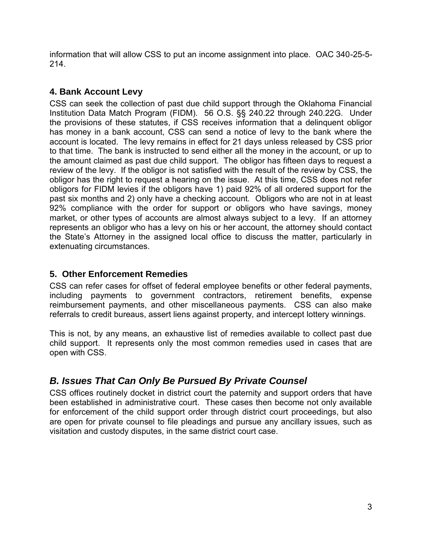information that will allow CSS to put an income assignment into place. OAC 340-25-5- 214.

#### <span id="page-4-0"></span>**4. Bank Account Levy**

CSS can seek the collection of past due child support through the Oklahoma Financial Institution Data Match Program (FIDM). 56 O.S. §§ 240.22 through 240.22G. Under the provisions of these statutes, if CSS receives information that a delinquent obligor has money in a bank account, CSS can send a notice of levy to the bank where the account is located. The levy remains in effect for 21 days unless released by CSS prior to that time. The bank is instructed to send either all the money in the account, or up to the amount claimed as past due child support. The obligor has fifteen days to request a review of the levy. If the obligor is not satisfied with the result of the review by CSS, the obligor has the right to request a hearing on the issue. At this time, CSS does not refer obligors for FIDM levies if the obligors have 1) paid 92% of all ordered support for the past six months and 2) only have a checking account. Obligors who are not in at least 92% compliance with the order for support or obligors who have savings, money market, or other types of accounts are almost always subject to a levy. If an attorney represents an obligor who has a levy on his or her account, the attorney should contact the State's Attorney in the assigned local office to discuss the matter, particularly in extenuating circumstances.

#### <span id="page-4-1"></span>**5. Other Enforcement Remedies**

CSS can refer cases for offset of federal employee benefits or other federal payments, including payments to government contractors, retirement benefits, expense reimbursement payments, and other miscellaneous payments. CSS can also make referrals to credit bureaus, assert liens against property, and intercept lottery winnings.

This is not, by any means, an exhaustive list of remedies available to collect past due child support. It represents only the most common remedies used in cases that are open with CSS.

## <span id="page-4-2"></span>*B. Issues That Can Only Be Pursued By Private Counsel*

CSS offices routinely docket in district court the paternity and support orders that have been established in administrative court. These cases then become not only available for enforcement of the child support order through district court proceedings, but also are open for private counsel to file pleadings and pursue any ancillary issues, such as visitation and custody disputes, in the same district court case.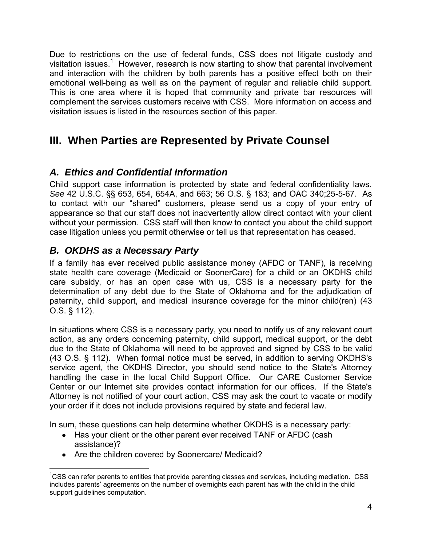Due to restrictions on the use of federal funds, CSS does not litigate custody and visitation issues.<sup>1</sup> However, research is now starting to show that parental involvement and interaction with the children by both parents has a positive effect both on their emotional well-being as well as on the payment of regular and reliable child support. This is one area where it is hoped that community and private bar resources will complement the services customers receive with CSS. More information on access and visitation issues is listed in the resources section of this paper.

# <span id="page-5-0"></span>**III. When Parties are Represented by Private Counsel**

# <span id="page-5-1"></span>*A. Ethics and Confidential Information*

Child support case information is protected by state and federal confidentiality laws. *See* 42 U.S.C. §§ 653, 654, 654A, and 663; 56 O.S. § 183; and OAC 340;25-5-67. As to contact with our "shared" customers, please send us a copy of your entry of appearance so that our staff does not inadvertently allow direct contact with your client without your permission. CSS staff will then know to contact you about the child support case litigation unless you permit otherwise or tell us that representation has ceased.

# <span id="page-5-2"></span>*B. OKDHS as a Necessary Party*

If a family has ever received public assistance money (AFDC or TANF), is receiving state health care coverage (Medicaid or SoonerCare) for a child or an OKDHS child care subsidy, or has an open case with us, CSS is a necessary party for the determination of any debt due to the State of Oklahoma and for the adjudication of paternity, child support, and medical insurance coverage for the minor child(ren) (43 O.S. § 112).

In situations where CSS is a necessary party, you need to notify us of any relevant court action, as any orders concerning paternity, child support, medical support, or the debt due to the State of Oklahoma will need to be approved and signed by CSS to be valid (43 O.S. § 112). When formal notice must be served, in addition to serving OKDHS's service agent, the OKDHS Director, you should send notice to the State's Attorney handling the case in the local Child Support Office. Our CARE Customer Service Center or our Internet site provides contact information for our offices. If the State's Attorney is not notified of your court action, CSS may ask the court to vacate or modify your order if it does not include provisions required by state and federal law.

In sum, these questions can help determine whether OKDHS is a necessary party:

- Has your client or the other parent ever received TANF or AFDC (cash assistance)?
- Are the children covered by Soonercare/ Medicaid?

<sup>&</sup>lt;sup>1</sup>CSS can refer parents to entities that provide parenting classes and services, including mediation. CSS includes parents' agreements on the number of overnights each parent has with the child in the child support guidelines computation.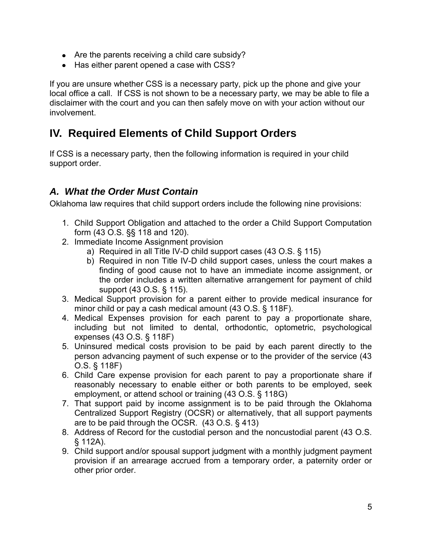- Are the parents receiving a child care subsidy?
- Has either parent opened a case with CSS?

If you are unsure whether CSS is a necessary party, pick up the phone and give your local office a call. If CSS is not shown to be a necessary party, we may be able to file a disclaimer with the court and you can then safely move on with your action without our involvement.

# <span id="page-6-0"></span>**IV. Required Elements of Child Support Orders**

If CSS is a necessary party, then the following information is required in your child support order.

# <span id="page-6-1"></span>*A. What the Order Must Contain*

Oklahoma law requires that child support orders include the following nine provisions:

- 1. Child Support Obligation and attached to the order a Child Support Computation form (43 O.S. §§ 118 and 120).
- 2. Immediate Income Assignment provision
	- a) Required in all Title IV-D child support cases (43 O.S. § 115)
	- b) Required in non Title IV-D child support cases, unless the court makes a finding of good cause not to have an immediate income assignment, or the order includes a written alternative arrangement for payment of child support (43 O.S. § 115).
- 3. Medical Support provision for a parent either to provide medical insurance for minor child or pay a cash medical amount (43 O.S. § 118F).
- 4. Medical Expenses provision for each parent to pay a proportionate share, including but not limited to dental, orthodontic, optometric, psychological expenses (43 O.S. § 118F)
- 5. Uninsured medical costs provision to be paid by each parent directly to the person advancing payment of such expense or to the provider of the service (43 O.S. § 118F)
- 6. Child Care expense provision for each parent to pay a proportionate share if reasonably necessary to enable either or both parents to be employed, seek employment, or attend school or training (43 O.S. § 118G)
- 7. That support paid by income assignment is to be paid through the Oklahoma Centralized Support Registry (OCSR) or alternatively, that all support payments are to be paid through the OCSR. (43 O.S. § 413)
- 8. Address of Record for the custodial person and the noncustodial parent (43 O.S. § 112A).
- 9. Child support and/or spousal support judgment with a monthly judgment payment provision if an arrearage accrued from a temporary order, a paternity order or other prior order.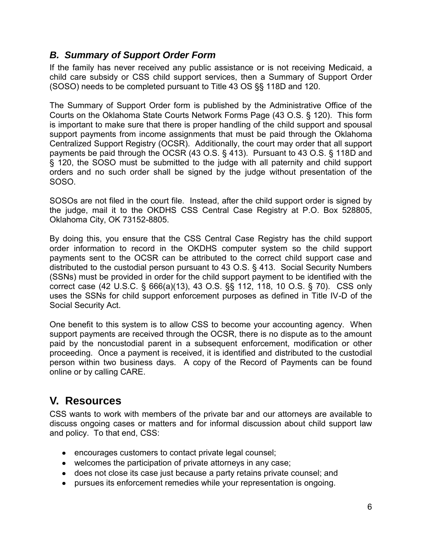## <span id="page-7-0"></span>*B. Summary of Support Order Form*

If the family has never received any public assistance or is not receiving Medicaid, a child care subsidy or CSS child support services, then a Summary of Support Order (SOSO) needs to be completed pursuant to Title 43 OS §§ 118D and 120.

The Summary of Support Order form is published by the Administrative Office of the Courts on the Oklahoma State Courts Network Forms Page (43 O.S. § 120). This form is important to make sure that there is proper handling of the child support and spousal support payments from income assignments that must be paid through the Oklahoma Centralized Support Registry (OCSR). Additionally, the court may order that all support payments be paid through the OCSR (43 O.S. § 413). Pursuant to 43 O.S. § 118D and § 120, the SOSO must be submitted to the judge with all paternity and child support orders and no such order shall be signed by the judge without presentation of the SOSO.

SOSOs are not filed in the court file. Instead, after the child support order is signed by the judge, mail it to the OKDHS CSS Central Case Registry at P.O. Box 528805, Oklahoma City, OK 73152-8805.

By doing this, you ensure that the CSS Central Case Registry has the child support order information to record in the OKDHS computer system so the child support payments sent to the OCSR can be attributed to the correct child support case and distributed to the custodial person pursuant to 43 O.S. § 413. Social Security Numbers (SSNs) must be provided in order for the child support payment to be identified with the correct case (42 U.S.C. § 666(a)(13), 43 O.S. §§ 112, 118, 10 O.S. § 70). CSS only uses the SSNs for child support enforcement purposes as defined in Title IV-D of the Social Security Act.

One benefit to this system is to allow CSS to become your accounting agency. When support payments are received through the OCSR, there is no dispute as to the amount paid by the noncustodial parent in a subsequent enforcement, modification or other proceeding. Once a payment is received, it is identified and distributed to the custodial person within two business days. A copy of the Record of Payments can be found online or by calling CARE.

# <span id="page-7-1"></span>**V. Resources**

CSS wants to work with members of the private bar and our attorneys are available to discuss ongoing cases or matters and for informal discussion about child support law and policy. To that end, CSS:

- encourages customers to contact private legal counsel;
- welcomes the participation of private attorneys in any case;
- does not close its case just because a party retains private counsel; and
- pursues its enforcement remedies while your representation is ongoing.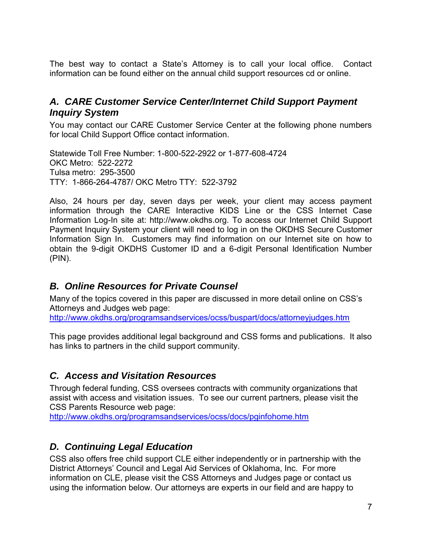The best way to contact a State's Attorney is to call your local office. Contact information can be found either on the annual child support resources cd or online.

## <span id="page-8-0"></span>*A. CARE Customer Service Center/Internet Child Support Payment Inquiry System*

You may contact our CARE Customer Service Center at the following phone numbers for local Child Support Office contact information.

Statewide Toll Free Number: 1-800-522-2922 or 1-877-608-4724 OKC Metro: 522-2272 Tulsa metro: 295-3500 TTY: 1-866-264-4787/ OKC Metro TTY: 522-3792

Also, 24 hours per day, seven days per week, your client may access payment information through the CARE Interactive KIDS Line or the CSS Internet Case Information Log-In site at: http://www.okdhs.org. To access our Internet Child Support Payment Inquiry System your client will need to log in on the OKDHS Secure Customer Information Sign In. Customers may find information on our Internet site on how to obtain the 9-digit OKDHS Customer ID and a 6-digit Personal Identification Number (PIN).

## <span id="page-8-1"></span>*B. Online Resources for Private Counsel*

Many of the topics covered in this paper are discussed in more detail online on CSS's Attorneys and Judges web page: <http://www.okdhs.org/programsandservices/ocss/buspart/docs/attorneyjudges.htm>

This page provides additional legal background and CSS forms and publications. It also has links to partners in the child support community.

# <span id="page-8-2"></span>*C. Access and Visitation Resources*

Through federal funding, CSS oversees contracts with community organizations that assist with access and visitation issues. To see our current partners, please visit the CSS Parents Resource web page:

<http://www.okdhs.org/programsandservices/ocss/docs/pginfohome.htm>

## <span id="page-8-3"></span>*D. Continuing Legal Education*

CSS also offers free child support CLE either independently or in partnership with the District Attorneys' Council and Legal Aid Services of Oklahoma, Inc. For more information on CLE, please visit the CSS Attorneys and Judges page or contact us using the information below. Our attorneys are experts in our field and are happy to